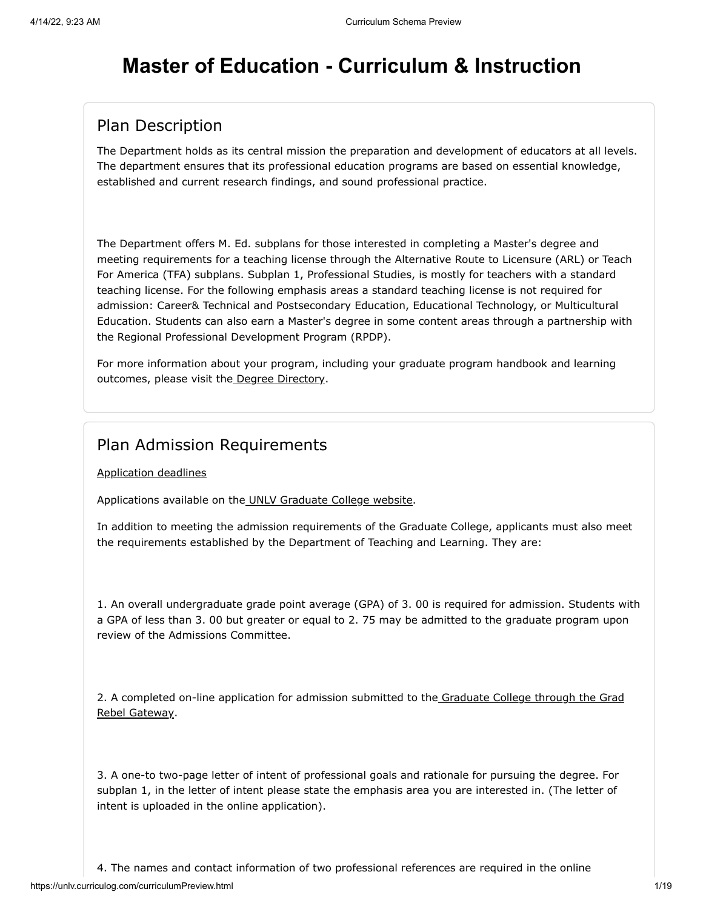# **Master of Education - Curriculum & Instruction**

### Plan Description

The Department holds as its central mission the preparation and development of educators at all levels. The department ensures that its professional education programs are based on essential knowledge, established and current research findings, and sound professional practice.

The Department offers M. Ed. subplans for those interested in completing a Master's degree and meeting requirements for a teaching license through the Alternative Route to Licensure (ARL) or Teach For America (TFA) subplans. Subplan 1, Professional Studies, is mostly for teachers with a standard teaching license. For the following emphasis areas a standard teaching license is not required for admission: Career& Technical and Postsecondary Education, Educational Technology, or Multicultural Education. Students can also earn a Master's degree in some content areas through a partnership with the Regional Professional Development Program (RPDP).

For more information about your program, including your graduate program handbook and learning outcomes, please visit the [Degree Directory](https://www.unlv.edu/degree/med-curriculum-instruction).

#### Plan Admission Requirements

[Application deadlines](http://www.unlv.edu/graduatecollege/application-deadlines)

Applications available on th[e UNLV Graduate College website.](http://graduatecollege.unlv.edu/admissions/)

In addition to meeting the admission requirements of the Graduate College, applicants must also meet the requirements established by the Department of Teaching and Learning. They are:

1. An overall undergraduate grade point average (GPA) of 3. 00 is required for admission. Students with a GPA of less than 3. 00 but greater or equal to 2. 75 may be admitted to the graduate program upon review of the Admissions Committee.

[2. A completed on-line application for admission submitted to the Graduate College through the Grad](https://www.unlv.edu/graduatecollege/futurestudents) Rebel Gateway.

3. A one-to two-page letter of intent of professional goals and rationale for pursuing the degree. For subplan 1, in the letter of intent please state the emphasis area you are interested in. (The letter of intent is uploaded in the online application).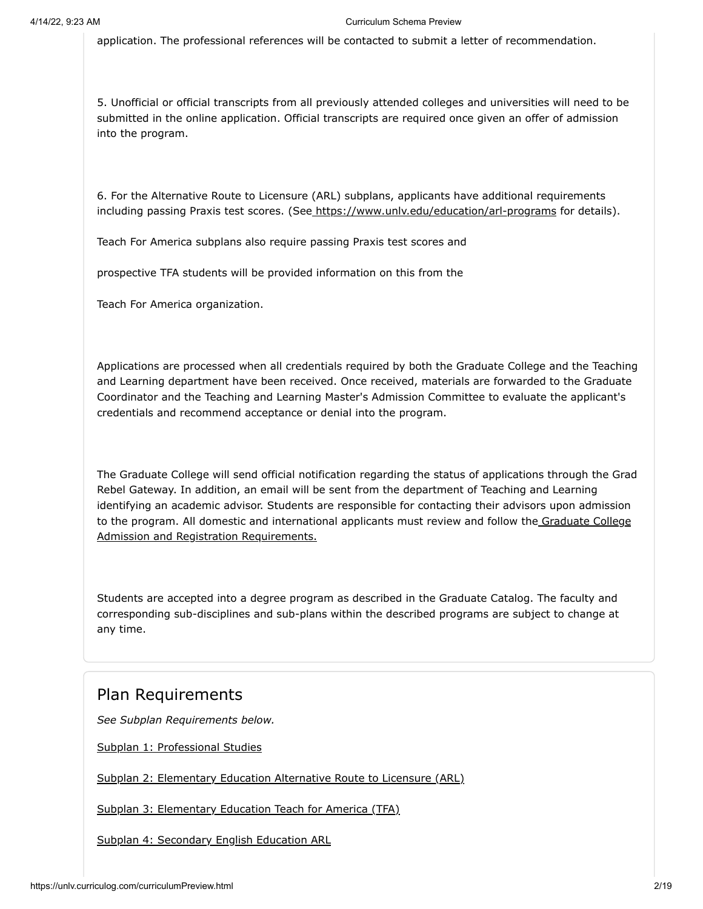application. The professional references will be contacted to submit a letter of recommendation.

5. Unofficial or official transcripts from all previously attended colleges and universities will need to be submitted in the online application. Official transcripts are required once given an offer of admission into the program.

6. For the Alternative Route to Licensure (ARL) subplans, applicants have additional requirements including passing Praxis test scores. (See<https://www.unlv.edu/education/arl-programs>for details).

Teach For America subplans also require passing Praxis test scores and

prospective TFA students will be provided information on this from the

Teach For America organization.

Applications are processed when all credentials required by both the Graduate College and the Teaching and Learning department have been received. Once received, materials are forwarded to the Graduate Coordinator and the Teaching and Learning Master's Admission Committee to evaluate the applicant's credentials and recommend acceptance or denial into the program.

The Graduate College will send official notification regarding the status of applications through the Grad Rebel Gateway. In addition, an email will be sent from the department of Teaching and Learning identifying an academic advisor. Students are responsible for contacting their advisors upon admission [to the program. All domestic and international applicants must review and follow the Graduate College](https://www.unlv.edu/graduatecollege/futurestudents) Admission and Registration Requirements.

Students are accepted into a degree program as described in the Graduate Catalog. The faculty and corresponding sub-disciplines and sub-plans within the described programs are subject to change at any time.

#### Plan Requirements

*See Subplan Requirements below.*

[Subplan 1: Professional Studies](#page-2-0)

[Subplan 2: Elementary Education Alternative Route to Licensure \(ARL\)](#page-4-0)

[Subplan 3: Elementary Education Teach for America \(TFA\)](#page-5-0)

[Subplan 4: Secondary English Education ARL](#page-7-0)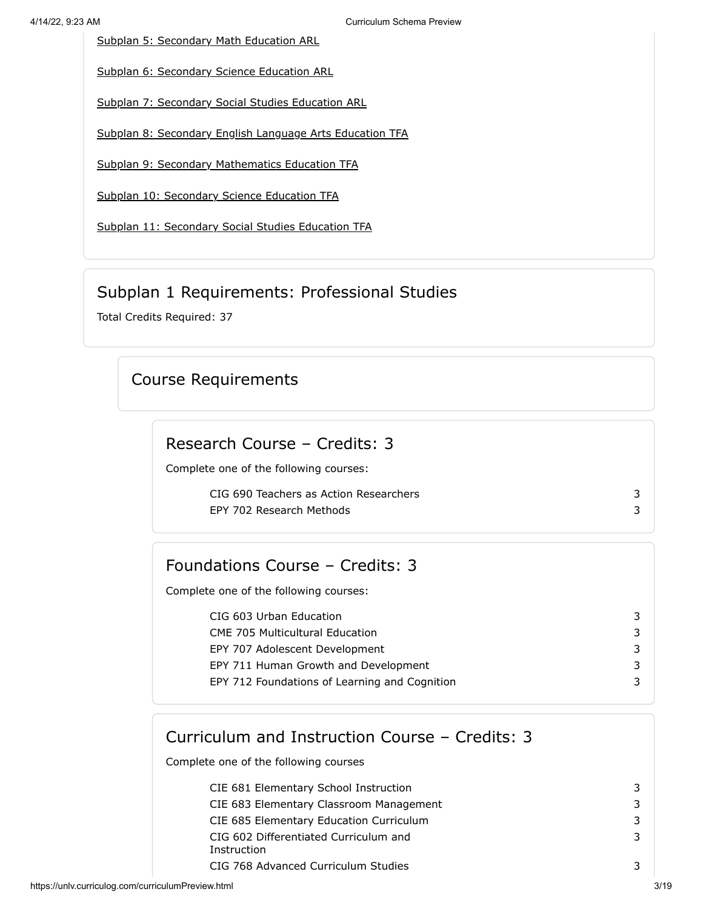[Subplan 5: Secondary Math Education ARL](#page-8-0)

[Subplan 6: Secondary Science Education ARL](#page-10-0)

[Subplan 7: Secondary Social Studies Education ARL](#page-11-0)

[Subplan 8: Secondary English Language Arts Education TFA](#page-13-0)

[Subplan 9: Secondary Mathematics Education TFA](#page-14-0)

[Subplan 10: Secondary Science Education TFA](#page-15-0)

[Subplan 11: Secondary Social Studies Education TFA](#page-16-0)

#### Subplan 1 Requirements: Professional Studies

<span id="page-2-0"></span>Total Credits Required: 37

### Course Requirements

### Research Course – Credits: 3

Complete one of the following courses:

CIG 690 Teachers as Action Researchers 3 EPY 702 Research Methods 3

### Foundations Course – Credits: 3

Complete one of the following courses:

| CIG 603 Urban Education                       | 3  |
|-----------------------------------------------|----|
| <b>CME 705 Multicultural Education</b>        | 3  |
| EPY 707 Adolescent Development                | 3  |
| EPY 711 Human Growth and Development          | 3  |
| EPY 712 Foundations of Learning and Cognition | 3. |
|                                               |    |

### Curriculum and Instruction Course – Credits: 3

Complete one of the following courses

| CIE 681 Elementary School Instruction   | 3 |
|-----------------------------------------|---|
| CIE 683 Elementary Classroom Management | 3 |
| CIE 685 Elementary Education Curriculum | 3 |
| CIG 602 Differentiated Curriculum and   | 3 |
| Instruction                             |   |
| CIG 768 Advanced Curriculum Studies     | 3 |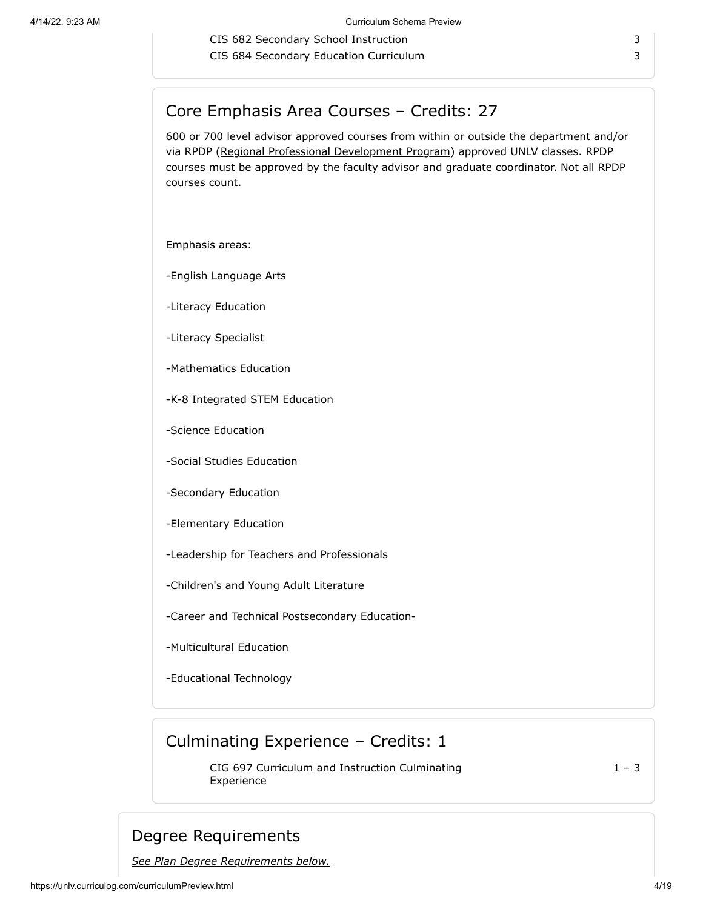CIS 682 Secondary School Instruction 3 CIS 684 Secondary Education Curriculum 3

### Core Emphasis Area Courses – Credits: 27

600 or 700 level advisor approved courses from within or outside the department and/or via RPDP [\(Regional Professional Development Program](https://www.unlv.edu/graduatecollege/rpdp)) approved UNLV classes. RPDP courses must be approved by the faculty advisor and graduate coordinator. Not all RPDP courses count.

Emphasis areas:

-English Language Arts

-Literacy Education

-Literacy Specialist

-Mathematics Education

-K-8 Integrated STEM Education

-Science Education

-Social Studies Education

-Secondary Education

-Elementary Education

-Leadership for Teachers and Professionals

-Children's and Young Adult Literature

-Career and Technical Postsecondary Education-

-Multicultural Education

-Educational Technology

### Culminating Experience – Credits: 1

CIG 697 Curriculum and Instruction Culminating Experience

 $1 - 3$ 

### Degree Requirements

*See Plan Degree Requirements below.*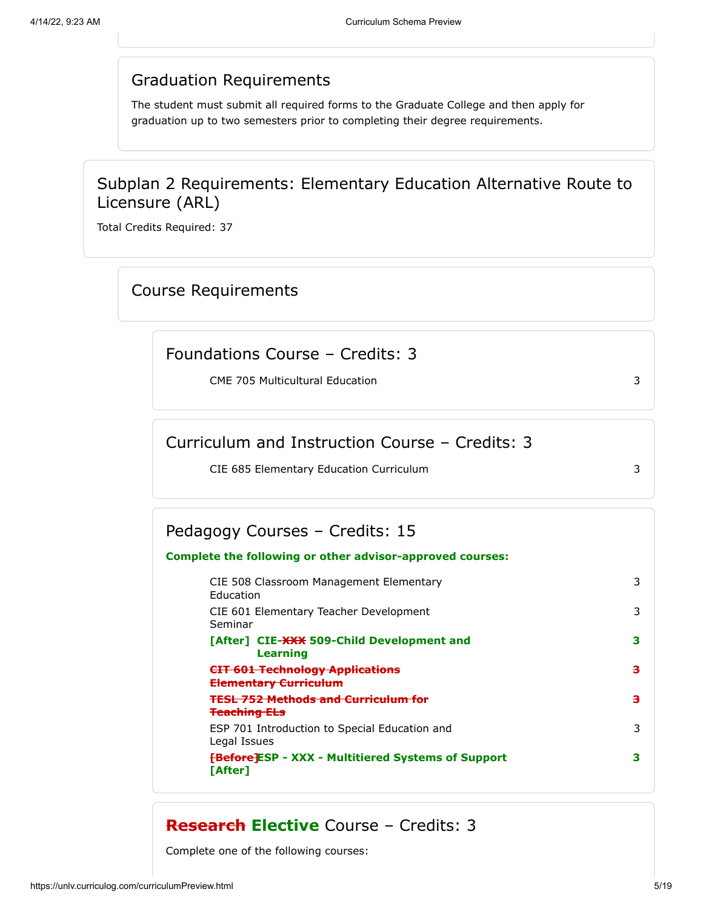#### Graduation Requirements

The student must submit all required forms to the Graduate College and then apply for graduation up to two semesters prior to completing their degree requirements.

### Subplan 2 Requirements: Elementary Education Alternative Route to Licensure (ARL)

<span id="page-4-0"></span>Total Credits Required: 37

#### Course Requirements

#### Foundations Course – Credits: 3

CME 705 Multicultural Education 3

# Curriculum and Instruction Course – Credits: 3

CIE 685 Elementary Education Curriculum 3

#### Pedagogy Courses – Credits: 15

# **Complete the following or other advisor-approved courses:**

CIE 508 Classroom Management Elementary Education 3 CIE 601 Elementary Teacher Development Seminar 3 **[After] CIE-XXX 509-Child Development and Learning 3 CIT 601 Technology Applications Elementary Curriculum 3 TESL 752 Methods and Curriculum for Teaching ELs 3** ESP 701 Introduction to Special Education and Legal Issues 3 **[Before] ESP - XXX - Multitiered Systems of Support 3 [After]**

#### **Research Elective** Course – Credits: 3

Complete one of the following courses: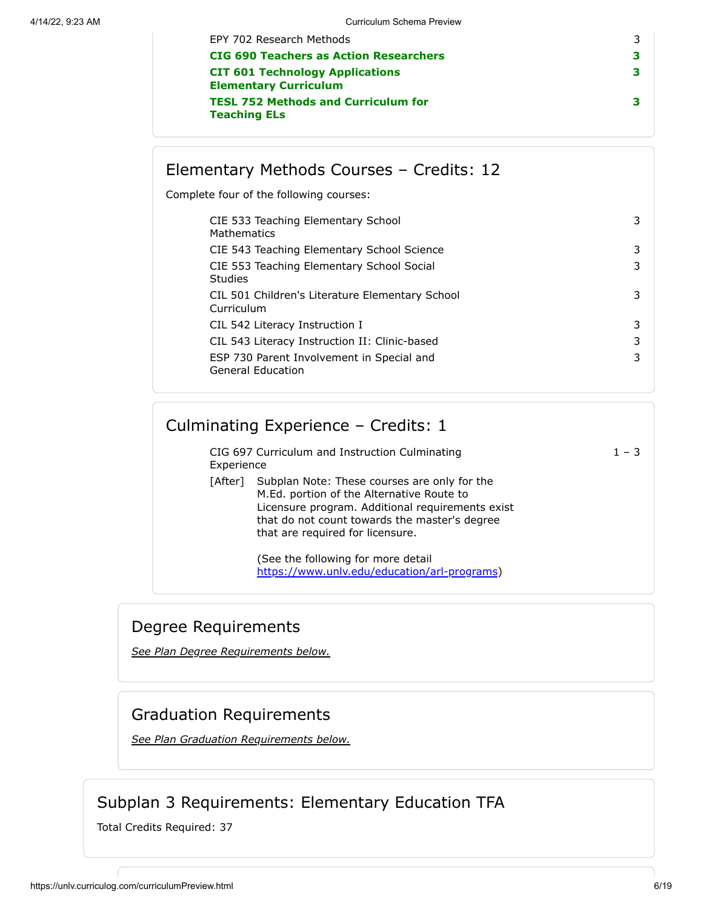| EPY 702 Research Methods                                               |   |
|------------------------------------------------------------------------|---|
| <b>CIG 690 Teachers as Action Researchers</b>                          | з |
| <b>CIT 601 Technology Applications</b><br><b>Elementary Curriculum</b> | з |
| <b>TESL 752 Methods and Curriculum for</b><br><b>Teaching ELs</b>      | з |

### Elementary Methods Courses – Credits: 12

Complete four of the following courses:

| CIE 533 Teaching Elementary School<br>Mathematics              | 3 |
|----------------------------------------------------------------|---|
| CIE 543 Teaching Elementary School Science                     | 3 |
| CIE 553 Teaching Elementary School Social<br>Studies           | 3 |
| CIL 501 Children's Literature Elementary School<br>Curriculum  | 3 |
| CIL 542 Literacy Instruction I                                 | 3 |
| CIL 543 Literacy Instruction II: Clinic-based                  | 3 |
| ESP 730 Parent Involvement in Special and<br>General Education | 3 |

### Culminating Experience – Credits: 1

CIG 697 Curriculum and Instruction Culminating Experience  $1 - 3$ 

[After] Subplan Note: These courses are only for the M.Ed. portion of the Alternative Route to Licensure program. Additional requirements exist that do not count towards the master's degree that are required for licensure.

> (See the following for more detail [https://www.unlv.edu/education/arl-programs\)](https://www.unlv.edu/education/arl-programs)

### Degree Requirements

*[See Plan Degree Requirements below.](http://plandegreerequirements/)*

### Graduation Requirements

*[See Plan Graduation Requirements below.](http://plangraduationrequirements/)*

## Subplan 3 Requirements: Elementary Education TFA

<span id="page-5-0"></span>Total Credits Required: 37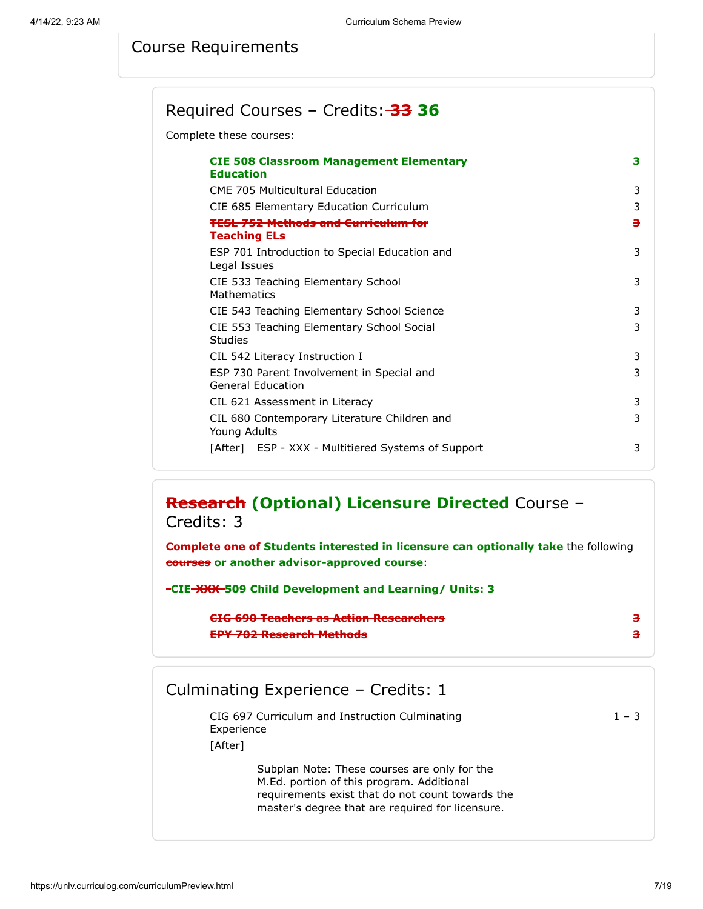### Course Requirements

### Required Courses – Credits: **33 36**

Complete these courses:

| <b>CIE 508 Classroom Management Elementary</b><br><b>Education</b>    | з |
|-----------------------------------------------------------------------|---|
| <b>CME 705 Multicultural Education</b>                                | 3 |
| CIE 685 Elementary Education Curriculum                               | 3 |
| <b>TESL 752 Methods and Curriculum for</b><br><b>Teaching ELs</b>     | з |
| ESP 701 Introduction to Special Education and<br>Legal Issues         | 3 |
| CIE 533 Teaching Elementary School<br>Mathematics                     | 3 |
| CIE 543 Teaching Elementary School Science                            | 3 |
| CIE 553 Teaching Elementary School Social<br>Studies                  | 3 |
| CIL 542 Literacy Instruction I                                        | 3 |
| ESP 730 Parent Involvement in Special and<br><b>General Education</b> | 3 |
| CIL 621 Assessment in Literacy                                        | 3 |
| CIL 680 Contemporary Literature Children and<br>Young Adults          | 3 |
| [After] ESP - XXX - Multitiered Systems of Support                    | 3 |

### **Research (Optional) Licensure Directed** Course – Credits: 3

**Complete one of Students interested in licensure can optionally take** the following **courses or another advisor-approved course**:

**-CIE-XXX-509 Child Development and Learning/ Units: 3**

| CIC 600 Tenghave no Action Desearchave<br><u>GREV VIDEOGRICH BEGREARING IN BRANCH CHAIR IN 1999.</u> |  |
|------------------------------------------------------------------------------------------------------|--|
| EDV 703 Becapuak Mathede<br><b>THE PASSE IN THE REAL PROPERTY OF A STATE</b>                         |  |

### Culminating Experience – Credits: 1

|         | CIG 697 Curriculum and Instruction Culminating<br>Experience                                                                                                                                      | $1 - 3$ |
|---------|---------------------------------------------------------------------------------------------------------------------------------------------------------------------------------------------------|---------|
| [After] |                                                                                                                                                                                                   |         |
|         | Subplan Note: These courses are only for the<br>M.Ed. portion of this program. Additional<br>requirements exist that do not count towards the<br>master's degree that are required for licensure. |         |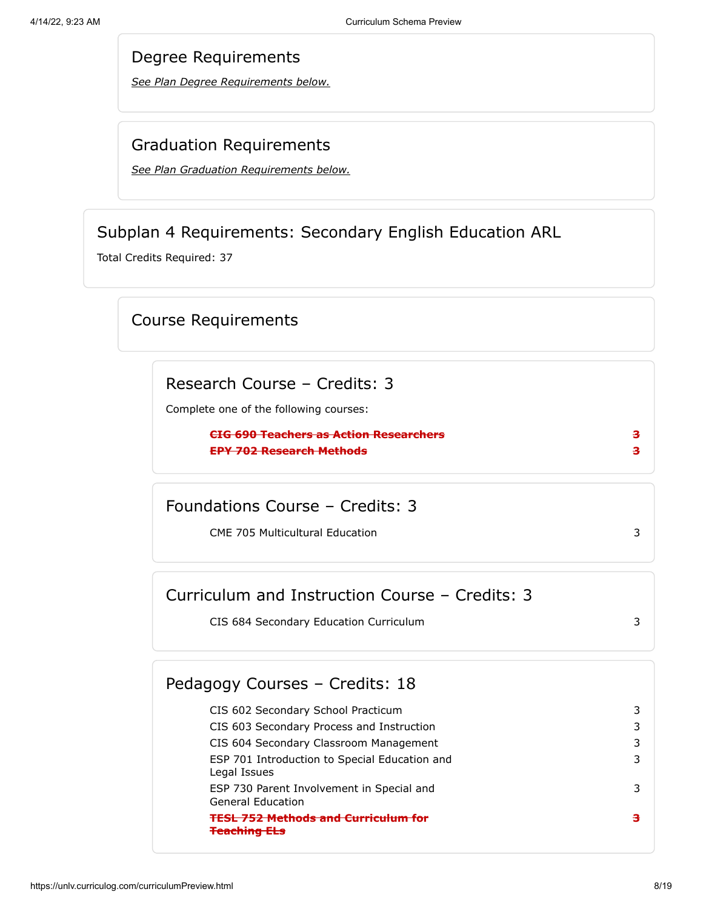*See Plan Degree Requirements below.*

#### Graduation Requirements

*[See Plan Graduation Requirements below.](#page-18-0)*

### Subplan 4 Requirements: Secondary English Education ARL

<span id="page-7-0"></span>Total Credits Required: 37

### Course Requirements

Research Course – Credits: 3

Complete one of the following courses:

**CIG 690 Teachers as Action Researchers 3 EPY 702 Research Methods 3**

Foundations Course – Credits: 3

CME 705 Multicultural Education 3

| Curriculum and Instruction Course – Credits: 3 |  |
|------------------------------------------------|--|
| CIS 684 Secondary Education Curriculum         |  |

#### CIS 602 Secondary School Practicum 3 CIS 603 Secondary Process and Instruction 3 CIS 604 Secondary Classroom Management 3 ESP 701 Introduction to Special Education and Legal Issues 3 ESP 730 Parent Involvement in Special and General Education 3 **TESL 752 Methods and Curriculum for Teaching ELs 3** Pedagogy Courses – Credits: 18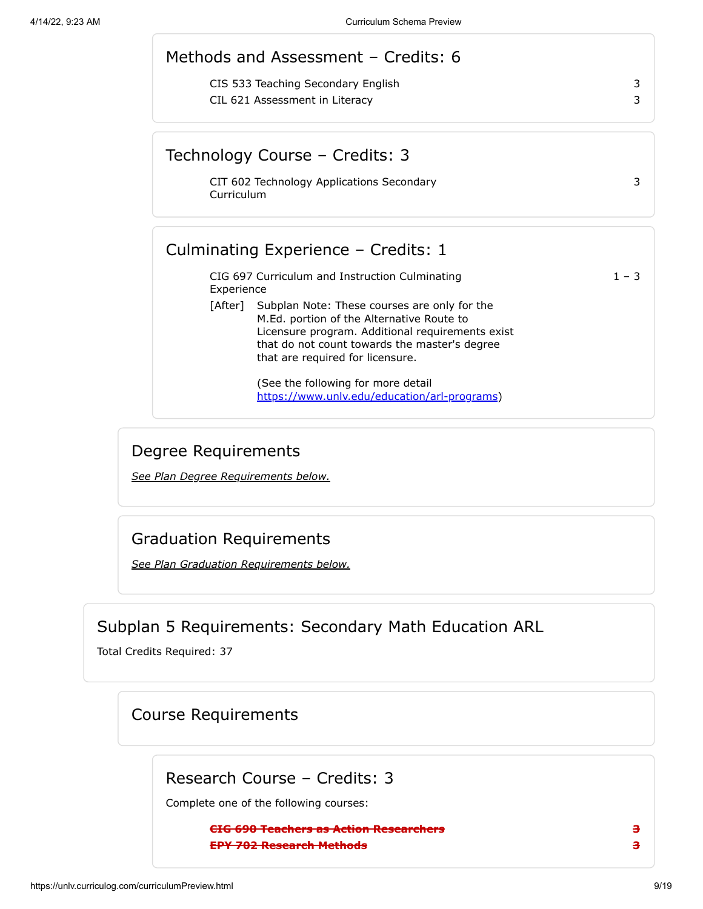|            | Methods and Assessment - Credits: 6                                                                                                                                                                                                        |         |
|------------|--------------------------------------------------------------------------------------------------------------------------------------------------------------------------------------------------------------------------------------------|---------|
|            | CIS 533 Teaching Secondary English<br>CIL 621 Assessment in Literacy                                                                                                                                                                       | 3<br>3  |
|            | Technology Course - Credits: 3                                                                                                                                                                                                             |         |
| Curriculum | CIT 602 Technology Applications Secondary                                                                                                                                                                                                  | 3       |
|            |                                                                                                                                                                                                                                            |         |
|            | Culminating Experience - Credits: 1                                                                                                                                                                                                        |         |
| Experience | CIG 697 Curriculum and Instruction Culminating                                                                                                                                                                                             | $1 - 3$ |
|            | [After] Subplan Note: These courses are only for the<br>M.Ed. portion of the Alternative Route to<br>Licensure program. Additional requirements exist<br>that do not count towards the master's degree<br>that are required for licensure. |         |

*See Plan Degree Requirements below.*

### Graduation Requirements

*[See Plan Graduation Requirements below.](#page-18-0)*

# Subplan 5 Requirements: Secondary Math Education ARL

<span id="page-8-0"></span>Total Credits Required: 37

### Course Requirements

Research Course – Credits: 3

Complete one of the following courses:

**CIG 690 Teachers as Action Researchers 3 EPY 702 Research Methods 3**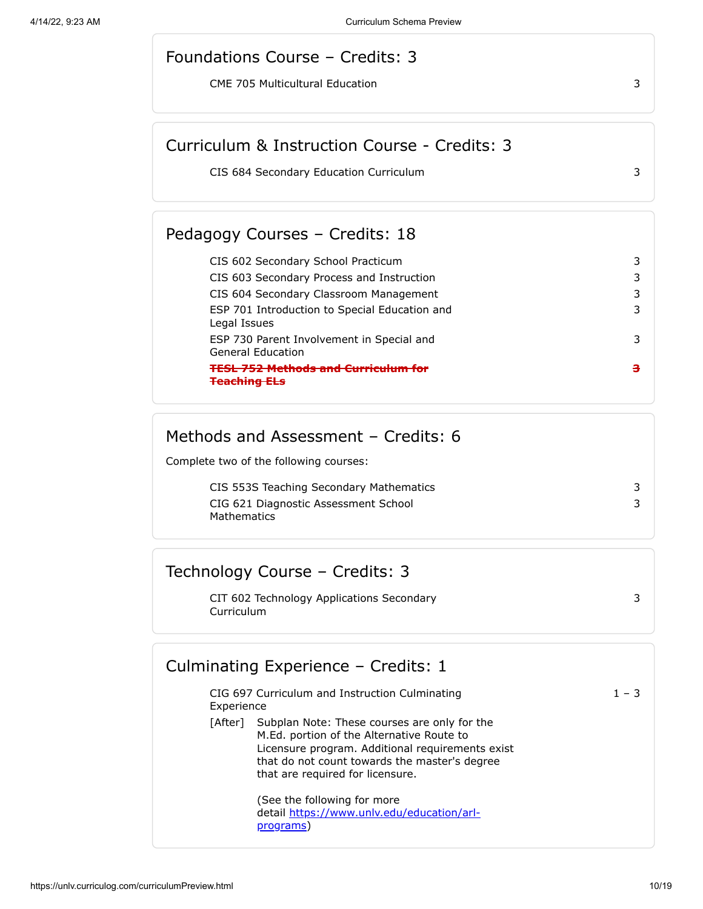#### Foundations Course – Credits: 3

CME 705 Multicultural Education 3

### Curriculum & Instruction Course - Credits: 3

CIS 684 Secondary Education Curriculum 3

#### Pedagogy Courses – Credits: 18

| CIS 602 Secondary School Practicum                                    |   |
|-----------------------------------------------------------------------|---|
| CIS 603 Secondary Process and Instruction                             | 3 |
| CIS 604 Secondary Classroom Management                                | 3 |
| ESP 701 Introduction to Special Education and<br>Legal Issues         | 3 |
| ESP 730 Parent Involvement in Special and<br><b>General Education</b> | 3 |
| <b>TFSL 752 Methods and Curriculum for</b>                            |   |

### Methods and Assessment – Credits: 6

Complete two of the following courses:

| CIS 553S Teaching Secondary Mathematics             |  |
|-----------------------------------------------------|--|
| CIG 621 Diagnostic Assessment School<br>Mathematics |  |

### Technology Course – Credits: 3

CIT 602 Technology Applications Secondary Curriculum

3

# CIG 697 Curriculum and Instruction Culminating Culminating Experience – Credits: 1

 $1 - 3$ 

| Experience |                                                                                                                                                                                                                                    |
|------------|------------------------------------------------------------------------------------------------------------------------------------------------------------------------------------------------------------------------------------|
| [After]    | Subplan Note: These courses are only for the<br>M.Ed. portion of the Alternative Route to<br>Licensure program. Additional requirements exist<br>that do not count towards the master's degree<br>that are required for licensure. |

(See the following for more detail [https://www.unlv.edu/education/arl](https://www.unlv.edu/education/arl-programs)programs)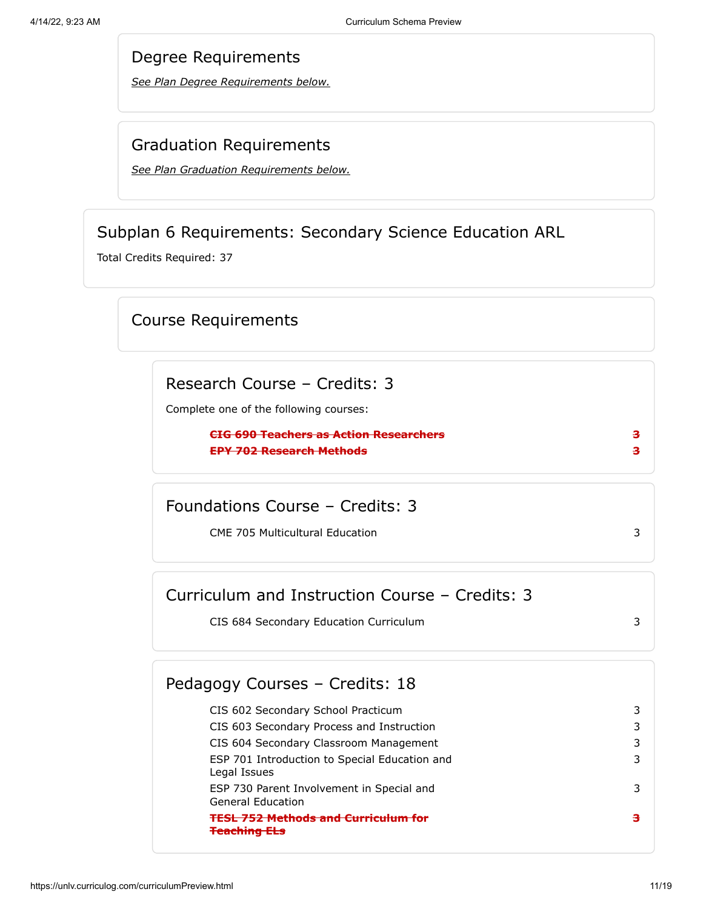*See Plan Degree Requirements below.*

#### Graduation Requirements

*[See Plan Graduation Requirements below.](#page-18-0)*

### Subplan 6 Requirements: Secondary Science Education ARL

<span id="page-10-0"></span>Total Credits Required: 37

### Course Requirements

Research Course – Credits: 3

Complete one of the following courses:

**CIG 690 Teachers as Action Researchers 3 EPY 702 Research Methods 3**

Foundations Course – Credits: 3

CME 705 Multicultural Education 3

| Curriculum and Instruction Course – Credits: 3 |  |
|------------------------------------------------|--|
| CIS 684 Secondary Education Curriculum         |  |

#### CIS 602 Secondary School Practicum 3 CIS 603 Secondary Process and Instruction 3 CIS 604 Secondary Classroom Management 3 ESP 701 Introduction to Special Education and Legal Issues 3 ESP 730 Parent Involvement in Special and General Education 3 **TESL 752 Methods and Curriculum for Teaching ELs 3** Pedagogy Courses – Credits: 18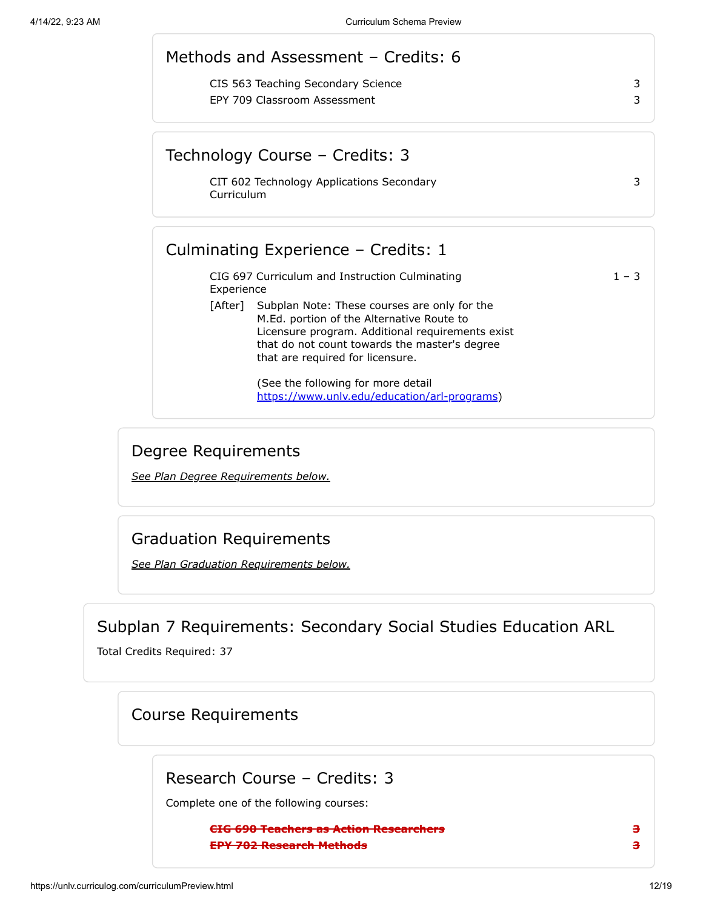|            | Methods and Assessment - Credits: 6                                                                                                                                                                                                        |         |
|------------|--------------------------------------------------------------------------------------------------------------------------------------------------------------------------------------------------------------------------------------------|---------|
|            | CIS 563 Teaching Secondary Science<br>EPY 709 Classroom Assessment                                                                                                                                                                         | 3<br>3  |
|            | Technology Course – Credits: 3                                                                                                                                                                                                             |         |
| Curriculum | CIT 602 Technology Applications Secondary                                                                                                                                                                                                  | 3       |
|            | Culminating Experience - Credits: 1                                                                                                                                                                                                        |         |
| Experience | CIG 697 Curriculum and Instruction Culminating                                                                                                                                                                                             | $1 - 3$ |
|            | [After] Subplan Note: These courses are only for the<br>M.Ed. portion of the Alternative Route to<br>Licensure program. Additional requirements exist<br>that do not count towards the master's degree<br>that are required for licensure. |         |
|            | (See the following for more detail<br>https://www.unlv.edu/education/arl-programs)                                                                                                                                                         |         |

*See Plan Degree Requirements below.*

### Graduation Requirements

*[See Plan Graduation Requirements below.](#page-18-0)*

Subplan 7 Requirements: Secondary Social Studies Education ARL

<span id="page-11-0"></span>Total Credits Required: 37

### Course Requirements

Research Course – Credits: 3

Complete one of the following courses:

**CIG 690 Teachers as Action Researchers 3 EPY 702 Research Methods 3**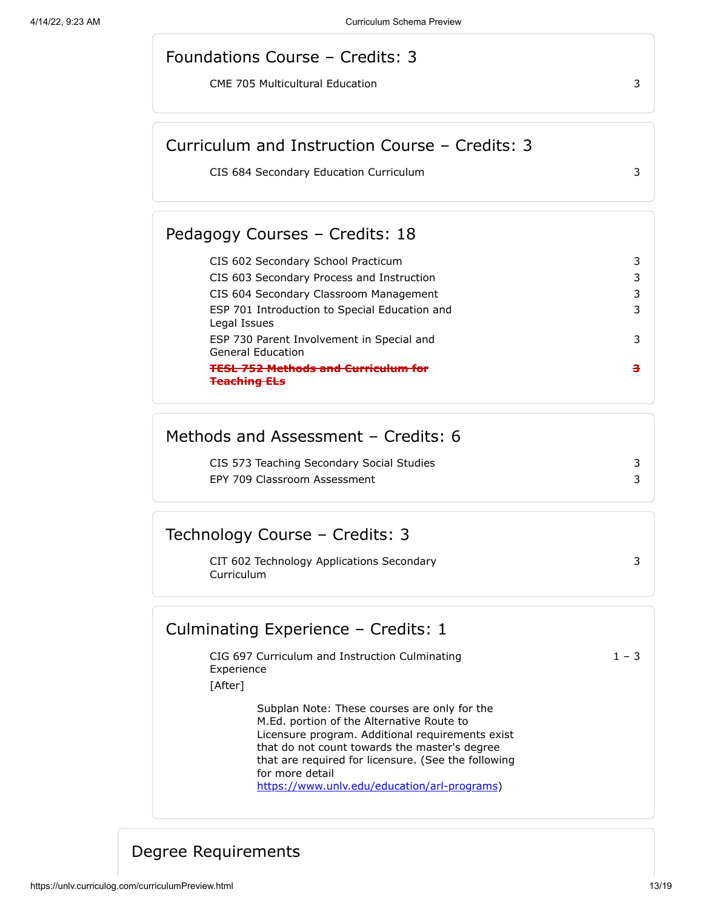#### Foundations Course – Credits: 3

CME 705 Multicultural Education 3

### Curriculum and Instruction Course – Credits: 3

CIS 684 Secondary Education Curriculum 3

#### Pedagogy Courses – Credits: 18

| CIS 602 Secondary School Practicum                                    |  |
|-----------------------------------------------------------------------|--|
| CIS 603 Secondary Process and Instruction                             |  |
| CIS 604 Secondary Classroom Management                                |  |
| ESP 701 Introduction to Special Education and<br>Legal Issues         |  |
| ESP 730 Parent Involvement in Special and<br><b>General Education</b> |  |
| <b>CCL 753 Mothede and Cumiculum for</b>                              |  |

### Methods and Assessment – Credits: 6

| CIS 573 Teaching Secondary Social Studies |  |
|-------------------------------------------|--|
| EPY 709 Classroom Assessment              |  |

### Technology Course – Credits: 3

| CIT 602 Technology Applications Secondary |
|-------------------------------------------|
| Curriculum                                |

#### Culminating Experience – Credits: 1

CIG 697 Curriculum and Instruction Culminating Experience

 $1 - 3$ 

3

[After]

Subplan Note: These courses are only for the M.Ed. portion of the Alternative Route to Licensure program. Additional requirements exist that do not count towards the master's degree that are required for licensure. (See the following for more detail [https://www.unlv.edu/education/arl-programs\)](https://www.unlv.edu/education/arl-programs)

### Degree Requirements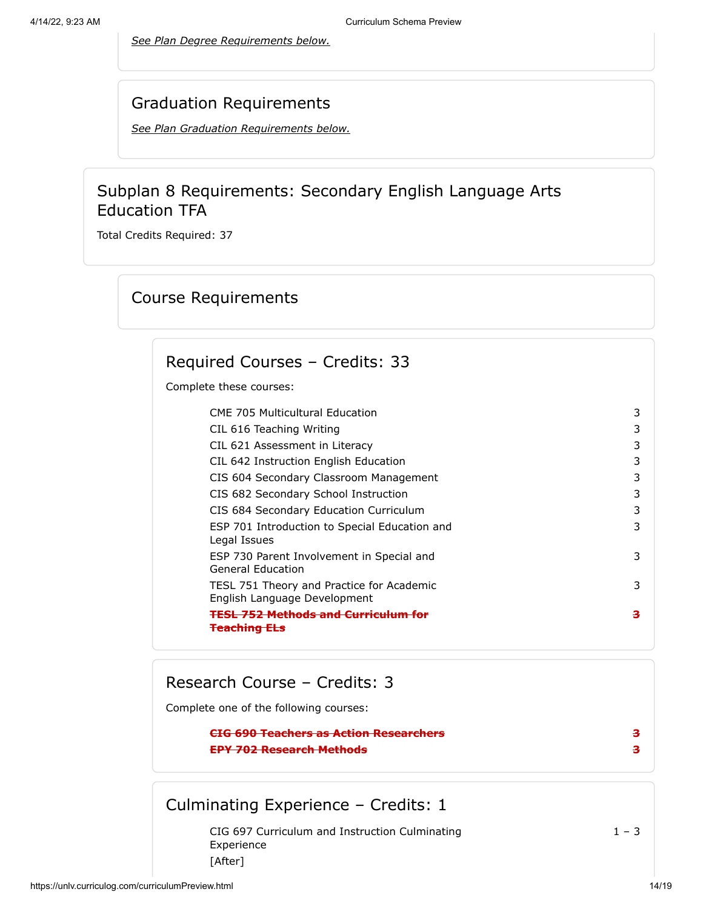*See Plan Degree Requirements below.*

#### Graduation Requirements

*[See Plan Graduation Requirements below.](#page-18-0)*

### Subplan 8 Requirements: Secondary English Language Arts Education TFA

<span id="page-13-0"></span>Total Credits Required: 37

### Course Requirements

### Required Courses – Credits: 33

Complete these courses:

| <b>CME 705 Multicultural Education</b>                                    | 3 |
|---------------------------------------------------------------------------|---|
| CIL 616 Teaching Writing                                                  | 3 |
| CIL 621 Assessment in Literacy                                            | 3 |
| CIL 642 Instruction English Education                                     | 3 |
| CIS 604 Secondary Classroom Management                                    | 3 |
| CIS 682 Secondary School Instruction                                      | 3 |
| CIS 684 Secondary Education Curriculum                                    | 3 |
| ESP 701 Introduction to Special Education and<br>Legal Issues             | 3 |
| ESP 730 Parent Involvement in Special and<br>General Education            | 3 |
| TESL 751 Theory and Practice for Academic<br>English Language Development | 3 |
| <u> Mathade and Curriculum</u>                                            | з |

### Research Course – Credits: 3

Complete one of the following courses:

#### **CIG 690 Teachers as Action Researchers 3 EPY 702 Research Methods 3**

## Culminating Experience – Credits: 1

CIG 697 Curriculum and Instruction Culminating Experience  $1 - 3$ [After]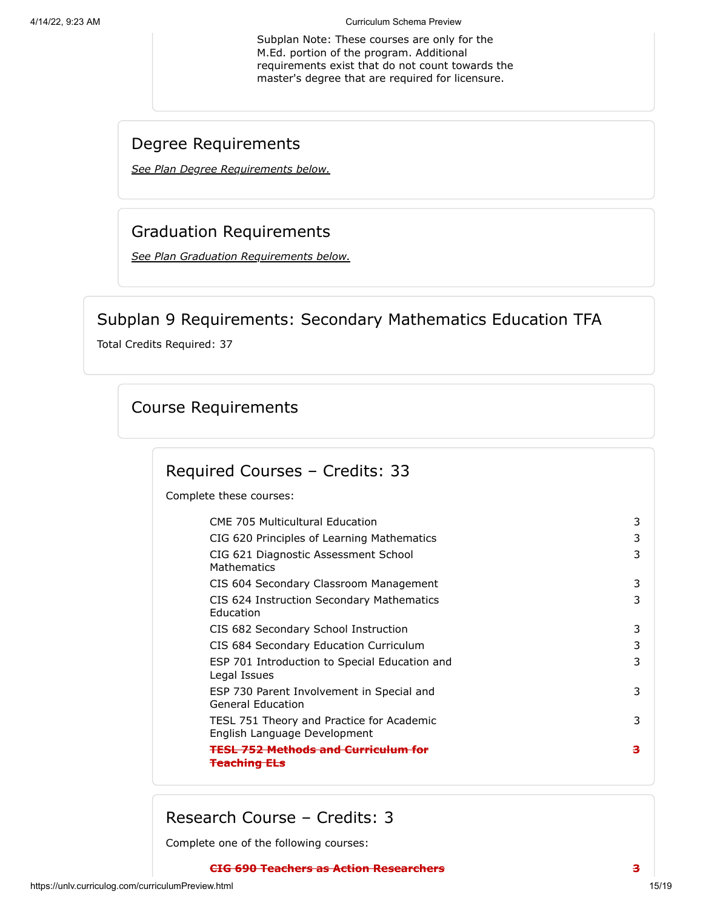4/14/22, 9:23 AM Curriculum Schema Preview

Subplan Note: These courses are only for the M.Ed. portion of the program. Additional requirements exist that do not count towards the master's degree that are required for licensure.

### Degree Requirements

*See Plan Degree Requirements below.*

## Graduation Requirements

*[See Plan Graduation Requirements below.](#page-18-0)*

## Subplan 9 Requirements: Secondary Mathematics Education TFA

<span id="page-14-0"></span>Total Credits Required: 37

### Course Requirements

### Required Courses – Credits: 33

Complete these courses:

| <b>CME 705 Multicultural Education</b>                                    | 3 |
|---------------------------------------------------------------------------|---|
| CIG 620 Principles of Learning Mathematics                                | 3 |
| CIG 621 Diagnostic Assessment School<br><b>Mathematics</b>                | 3 |
| CIS 604 Secondary Classroom Management                                    | 3 |
| CIS 624 Instruction Secondary Mathematics<br>Education                    | 3 |
| CIS 682 Secondary School Instruction                                      | 3 |
| CIS 684 Secondary Education Curriculum                                    | 3 |
| ESP 701 Introduction to Special Education and<br>Legal Issues             | 3 |
| ESP 730 Parent Involvement in Special and<br>General Education            | 3 |
| TESL 751 Theory and Practice for Academic<br>English Language Development | 3 |
| <b>TESL 752 Methods and Curriculum</b>                                    | з |
|                                                                           |   |

Research Course – Credits: 3

Complete one of the following courses: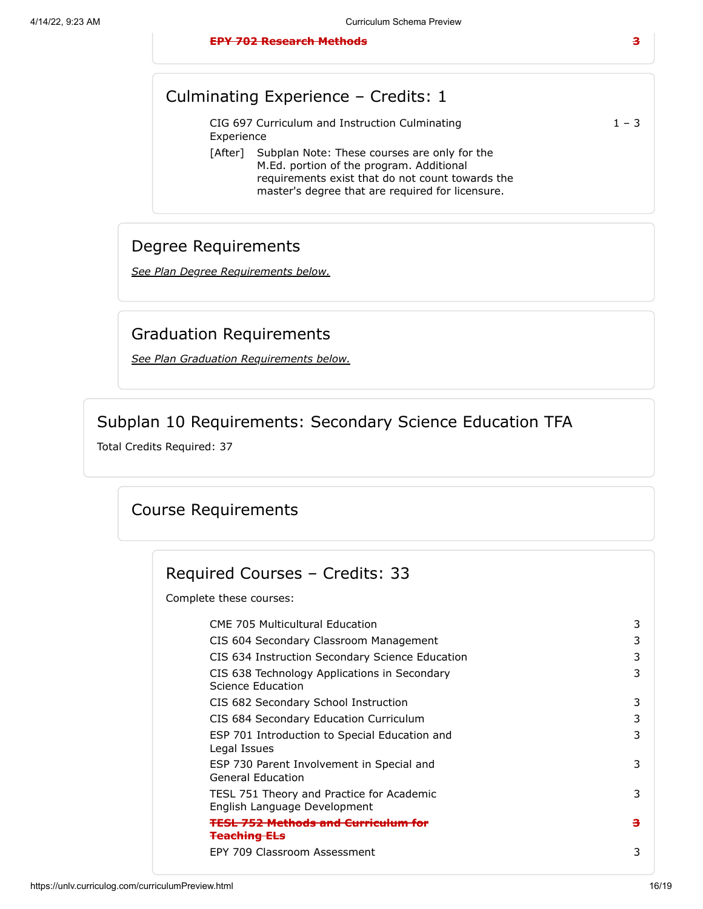|            | CIG 697 Curriculum and Instruction Culminating       | $1 - 3$ |
|------------|------------------------------------------------------|---------|
| Experience |                                                      |         |
|            | [After] Subplan Note: These courses are only for the |         |

M.Ed. portion of the program. Additional requirements exist that do not count towards the master's degree that are required for licensure.

### Degree Requirements

*See Plan Degree Requirements below.*

### Graduation Requirements

*[See Plan Graduation Requirements below.](#page-18-0)*

### Subplan 10 Requirements: Secondary Science Education TFA

<span id="page-15-0"></span>Total Credits Required: 37

### Course Requirements

### Required Courses – Credits: 33

Complete these courses:

| <b>CME 705 Multicultural Education</b>                                    | 3 |
|---------------------------------------------------------------------------|---|
| CIS 604 Secondary Classroom Management                                    | 3 |
| CIS 634 Instruction Secondary Science Education                           | 3 |
| CIS 638 Technology Applications in Secondary<br>Science Education         | 3 |
| CIS 682 Secondary School Instruction                                      | 3 |
| CIS 684 Secondary Education Curriculum                                    | 3 |
| ESP 701 Introduction to Special Education and<br>Legal Issues             | 3 |
| ESP 730 Parent Involvement in Special and<br>General Education            | 3 |
| TESL 751 Theory and Practice for Academic<br>English Language Development | 3 |
| <u>FESL 752 Methods and Curriculum</u>                                    | з |
| <del>Teaching ELs</del>                                                   |   |
| EPY 709 Classroom Assessment                                              | 3 |
|                                                                           |   |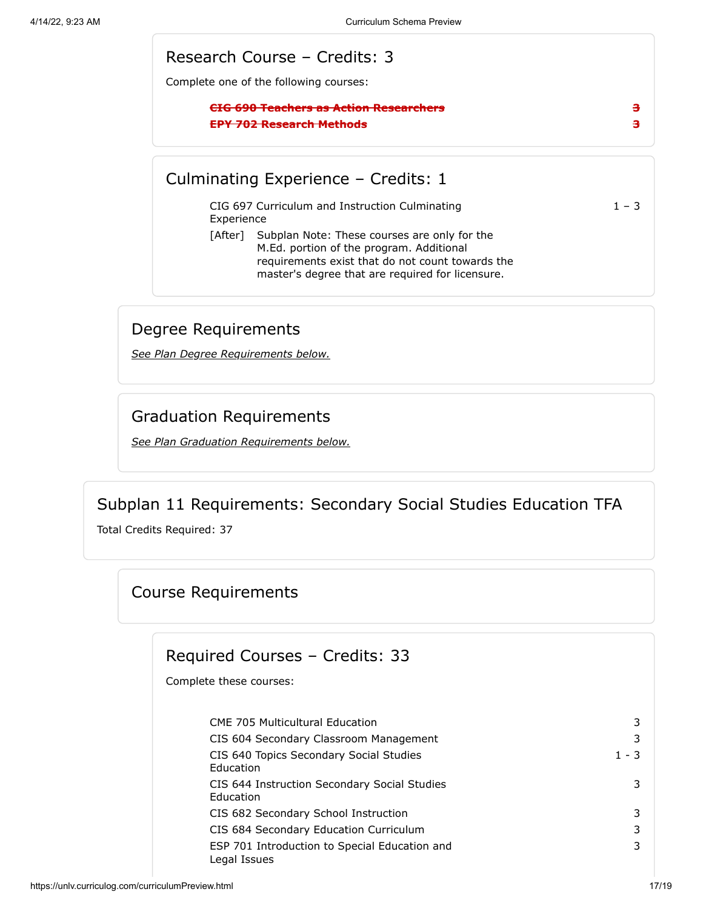#### Research Course – Credits: 3

Complete one of the following courses:

#### **CIG 690 Teachers as Action Researchers 3 EPY 702 Research Methods 3**

#### Culminating Experience – Credits: 1

CIG 697 Curriculum and Instruction Culminating Experience

 $1 - 3$ 

[After] Subplan Note: These courses are only for the M.Ed. portion of the program. Additional requirements exist that do not count towards the master's degree that are required for licensure.

### Degree Requirements

*See Plan Degree Requirements below.*

#### Graduation Requirements

*[See Plan Graduation Requirements below.](#page-18-0)*

#### Subplan 11 Requirements: Secondary Social Studies Education TFA

<span id="page-16-0"></span>Total Credits Required: 37

#### Course Requirements

### Required Courses – Credits: 33

Complete these courses:

CME 705 Multicultural Education 3 CIS 604 Secondary Classroom Management 3 CIS 640 Topics Secondary Social Studies Education  $1 - 3$ CIS 644 Instruction Secondary Social Studies Education 3 CIS 682 Secondary School Instruction 3 CIS 684 Secondary Education Curriculum 3 ESP 701 Introduction to Special Education and Legal Issues 3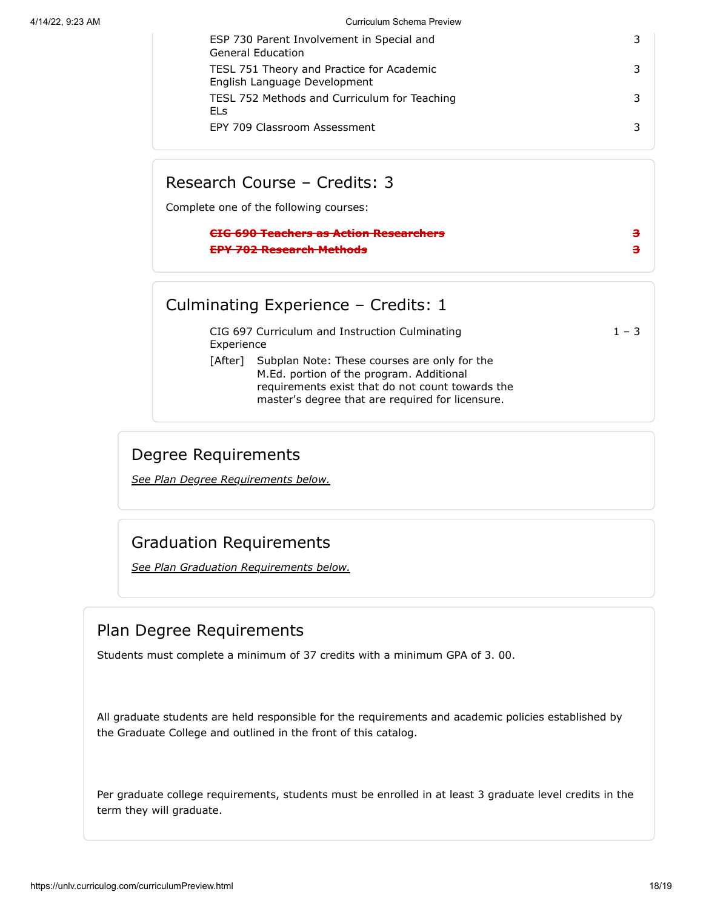4/14/22, 9:23 AM Curriculum Schema Preview

| ESP 730 Parent Involvement in Special and<br>General Education            |  |
|---------------------------------------------------------------------------|--|
| TESL 751 Theory and Practice for Academic<br>English Language Development |  |
| TESL 752 Methods and Curriculum for Teaching<br>ELs                       |  |
| EPY 709 Classroom Assessment                                              |  |

### Research Course – Credits: 3

Complete one of the following courses:

#### **CIG 690 Teachers as Action Researchers 3 EPY 702 Research Methods 3**

### Culminating Experience – Credits: 1

CIG 697 Curriculum and Instruction Culminating Experience

 $1 - 3$ 

[After] Subplan Note: These courses are only for the M.Ed. portion of the program. Additional requirements exist that do not count towards the master's degree that are required for licensure.

### Degree Requirements

*See Plan Degree Requirements below.*

## Graduation Requirements

*[See Plan Graduation Requirements below.](#page-18-0)*

## Plan Degree Requirements

Students must complete a minimum of 37 credits with a minimum GPA of 3. 00.

All graduate students are held responsible for the requirements and academic policies established by the Graduate College and outlined in the front of this catalog.

Per graduate college requirements, students must be enrolled in at least 3 graduate level credits in the term they will graduate.